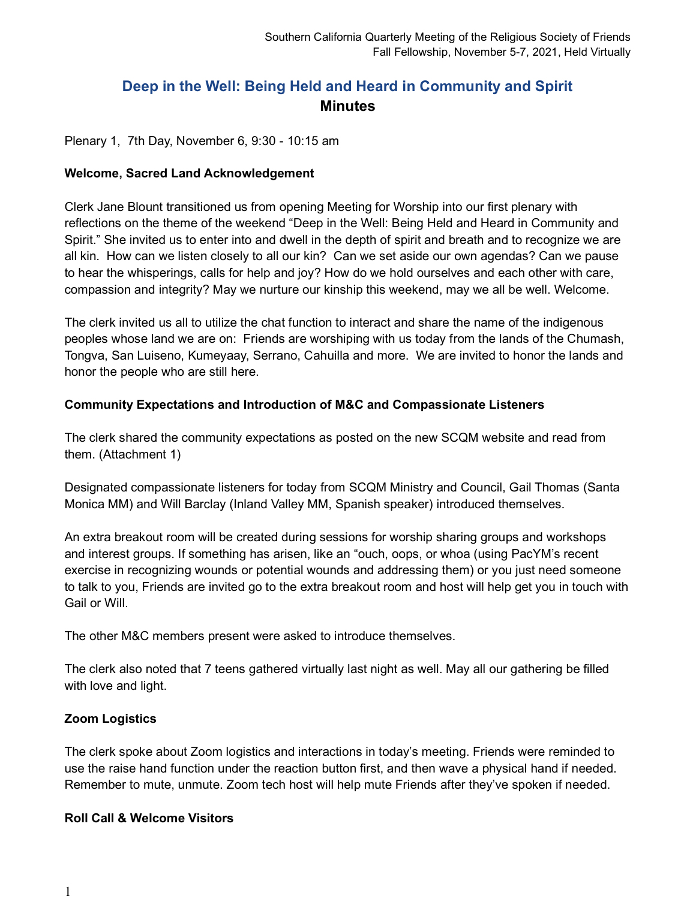# **Deep in the Well: Being Held and Heard in Community and Spirit Minutes**

Plenary 1, 7th Day, November 6, 9:30 - 10:15 am

#### **Welcome, Sacred Land Acknowledgement**

Clerk Jane Blount transitioned us from opening Meeting for Worship into our first plenary with reflections on the theme of the weekend "Deep in the Well: Being Held and Heard in Community and Spirit." She invited us to enter into and dwell in the depth of spirit and breath and to recognize we are all kin. How can we listen closely to all our kin? Can we set aside our own agendas? Can we pause to hear the whisperings, calls for help and joy? How do we hold ourselves and each other with care, compassion and integrity? May we nurture our kinship this weekend, may we all be well. Welcome.

The clerk invited us all to utilize the chat function to interact and share the name of the indigenous peoples whose land we are on: Friends are worshiping with us today from the lands of the Chumash, Tongva, San Luiseno, Kumeyaay, Serrano, Cahuilla and more. We are invited to honor the lands and honor the people who are still here.

#### **Community Expectations and Introduction of M&C and Compassionate Listeners**

The clerk shared the community expectations as posted on the new SCQM website and read from them. (Attachment 1)

Designated compassionate listeners for today from SCQM Ministry and Council, Gail Thomas (Santa Monica MM) and Will Barclay (Inland Valley MM, Spanish speaker) introduced themselves.

An extra breakout room will be created during sessions for worship sharing groups and workshops and interest groups. If something has arisen, like an "ouch, oops, or whoa (using PacYM's recent exercise in recognizing wounds or potential wounds and addressing them) or you just need someone to talk to you, Friends are invited go to the extra breakout room and host will help get you in touch with Gail or Will.

The other M&C members present were asked to introduce themselves.

The clerk also noted that 7 teens gathered virtually last night as well. May all our gathering be filled with love and light.

#### **Zoom Logistics**

The clerk spoke about Zoom logistics and interactions in today's meeting. Friends were reminded to use the raise hand function under the reaction button first, and then wave a physical hand if needed. Remember to mute, unmute. Zoom tech host will help mute Friends after they've spoken if needed.

#### **Roll Call & Welcome Visitors**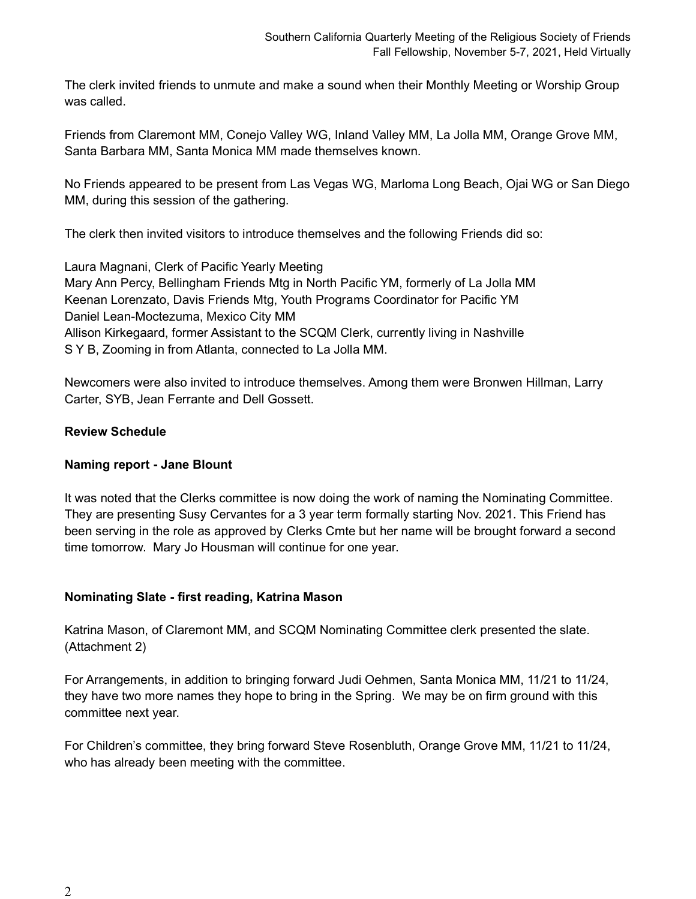The clerk invited friends to unmute and make a sound when their Monthly Meeting or Worship Group was called.

Friends from Claremont MM, Conejo Valley WG, Inland Valley MM, La Jolla MM, Orange Grove MM, Santa Barbara MM, Santa Monica MM made themselves known.

No Friends appeared to be present from Las Vegas WG, Marloma Long Beach, Ojai WG or San Diego MM, during this session of the gathering.

The clerk then invited visitors to introduce themselves and the following Friends did so:

Laura Magnani, Clerk of Pacific Yearly Meeting Mary Ann Percy, Bellingham Friends Mtg in North Pacific YM, formerly of La Jolla MM Keenan Lorenzato, Davis Friends Mtg, Youth Programs Coordinator for Pacific YM Daniel Lean-Moctezuma, Mexico City MM Allison Kirkegaard, former Assistant to the SCQM Clerk, currently living in Nashville S Y B, Zooming in from Atlanta, connected to La Jolla MM.

Newcomers were also invited to introduce themselves. Among them were Bronwen Hillman, Larry Carter, SYB, Jean Ferrante and Dell Gossett.

# **Review Schedule**

# **Naming report - Jane Blount**

It was noted that the Clerks committee is now doing the work of naming the Nominating Committee. They are presenting Susy Cervantes for a 3 year term formally starting Nov. 2021. This Friend has been serving in the role as approved by Clerks Cmte but her name will be brought forward a second time tomorrow. Mary Jo Housman will continue for one year.

# **Nominating Slate - first reading, Katrina Mason**

Katrina Mason, of Claremont MM, and SCQM Nominating Committee clerk presented the slate. (Attachment 2)

For Arrangements, in addition to bringing forward Judi Oehmen, Santa Monica MM, 11/21 to 11/24, they have two more names they hope to bring in the Spring. We may be on firm ground with this committee next year.

For Children's committee, they bring forward Steve Rosenbluth, Orange Grove MM, 11/21 to 11/24, who has already been meeting with the committee.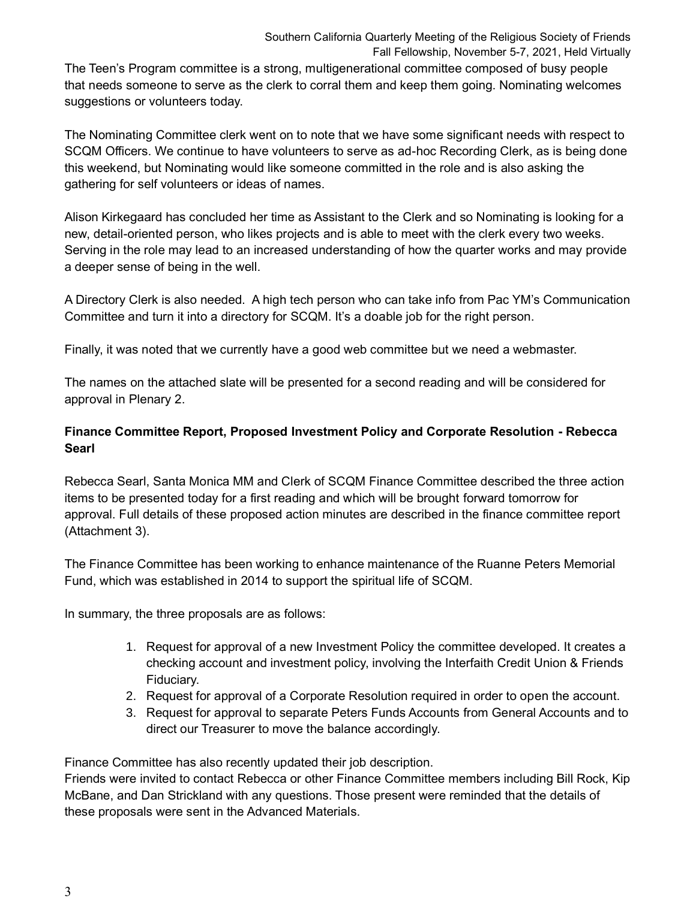The Teen's Program committee is a strong, multigenerational committee composed of busy people that needs someone to serve as the clerk to corral them and keep them going. Nominating welcomes suggestions or volunteers today.

The Nominating Committee clerk went on to note that we have some significant needs with respect to SCQM Officers. We continue to have volunteers to serve as ad-hoc Recording Clerk, as is being done this weekend, but Nominating would like someone committed in the role and is also asking the gathering for self volunteers or ideas of names.

Alison Kirkegaard has concluded her time as Assistant to the Clerk and so Nominating is looking for a new, detail-oriented person, who likes projects and is able to meet with the clerk every two weeks. Serving in the role may lead to an increased understanding of how the quarter works and may provide a deeper sense of being in the well.

A Directory Clerk is also needed. A high tech person who can take info from Pac YM's Communication Committee and turn it into a directory for SCQM. It's a doable job for the right person.

Finally, it was noted that we currently have a good web committee but we need a webmaster.

The names on the attached slate will be presented for a second reading and will be considered for approval in Plenary 2.

# **Finance Committee Report, Proposed Investment Policy and Corporate Resolution - Rebecca Searl**

Rebecca Searl, Santa Monica MM and Clerk of SCQM Finance Committee described the three action items to be presented today for a first reading and which will be brought forward tomorrow for approval. Full details of these proposed action minutes are described in the finance committee report (Attachment 3).

The Finance Committee has been working to enhance maintenance of the Ruanne Peters Memorial Fund, which was established in 2014 to support the spiritual life of SCQM.

In summary, the three proposals are as follows:

- 1. Request for approval of a new Investment Policy the committee developed. It creates a checking account and investment policy, involving the Interfaith Credit Union & Friends Fiduciary.
- 2. Request for approval of a Corporate Resolution required in order to open the account.
- 3. Request for approval to separate Peters Funds Accounts from General Accounts and to direct our Treasurer to move the balance accordingly.

Finance Committee has also recently updated their job description.

Friends were invited to contact Rebecca or other Finance Committee members including Bill Rock, Kip McBane, and Dan Strickland with any questions. Those present were reminded that the details of these proposals were sent in the Advanced Materials.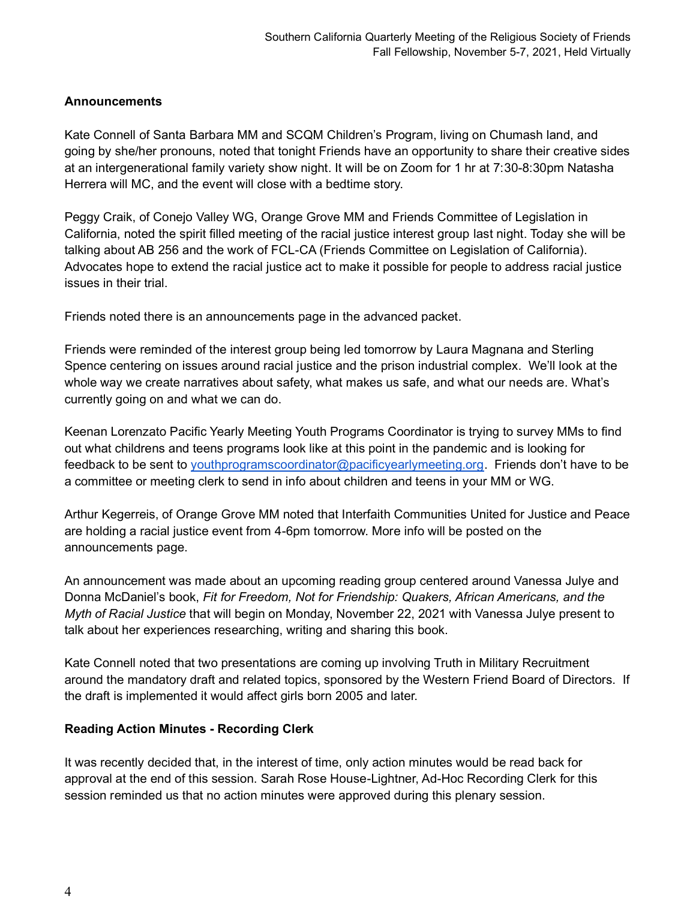### **Announcements**

Kate Connell of Santa Barbara MM and SCQM Children's Program, living on Chumash land, and going by she/her pronouns, noted that tonight Friends have an opportunity to share their creative sides at an intergenerational family variety show night. It will be on Zoom for 1 hr at 7:30-8:30pm Natasha Herrera will MC, and the event will close with a bedtime story.

Peggy Craik, of Conejo Valley WG, Orange Grove MM and Friends Committee of Legislation in California, noted the spirit filled meeting of the racial justice interest group last night. Today she will be talking about AB 256 and the work of FCL-CA (Friends Committee on Legislation of California). Advocates hope to extend the racial justice act to make it possible for people to address racial justice issues in their trial.

Friends noted there is an announcements page in the advanced packet.

Friends were reminded of the interest group being led tomorrow by Laura Magnana and Sterling Spence centering on issues around racial justice and the prison industrial complex. We'll look at the whole way we create narratives about safety, what makes us safe, and what our needs are. What's currently going on and what we can do.

Keenan Lorenzato Pacific Yearly Meeting Youth Programs Coordinator is trying to survey MMs to find out what childrens and teens programs look like at this point in the pandemic and is looking for feedback to be sent to [youthprogramscoordinator@pacificyearlymeeting.org.](mailto:youthprogramscoordinator@pacificyearlymeeting.org) Friends don't have to be a committee or meeting clerk to send in info about children and teens in your MM or WG.

Arthur Kegerreis, of Orange Grove MM noted that Interfaith Communities United for Justice and Peace are holding a racial justice event from 4-6pm tomorrow. More info will be posted on the announcements page.

An announcement was made about an upcoming reading group centered around Vanessa Julye and Donna McDaniel's book, *Fit for Freedom, Not for Friendship: Quakers, African Americans, and the Myth of Racial Justice* that will begin on Monday, November 22, 2021 with Vanessa Julye present to talk about her experiences researching, writing and sharing this book.

Kate Connell noted that two presentations are coming up involving Truth in Military Recruitment around the mandatory draft and related topics, sponsored by the Western Friend Board of Directors. If the draft is implemented it would affect girls born 2005 and later.

# **Reading Action Minutes - Recording Clerk**

It was recently decided that, in the interest of time, only action minutes would be read back for approval at the end of this session. Sarah Rose House-Lightner, Ad-Hoc Recording Clerk for this session reminded us that no action minutes were approved during this plenary session.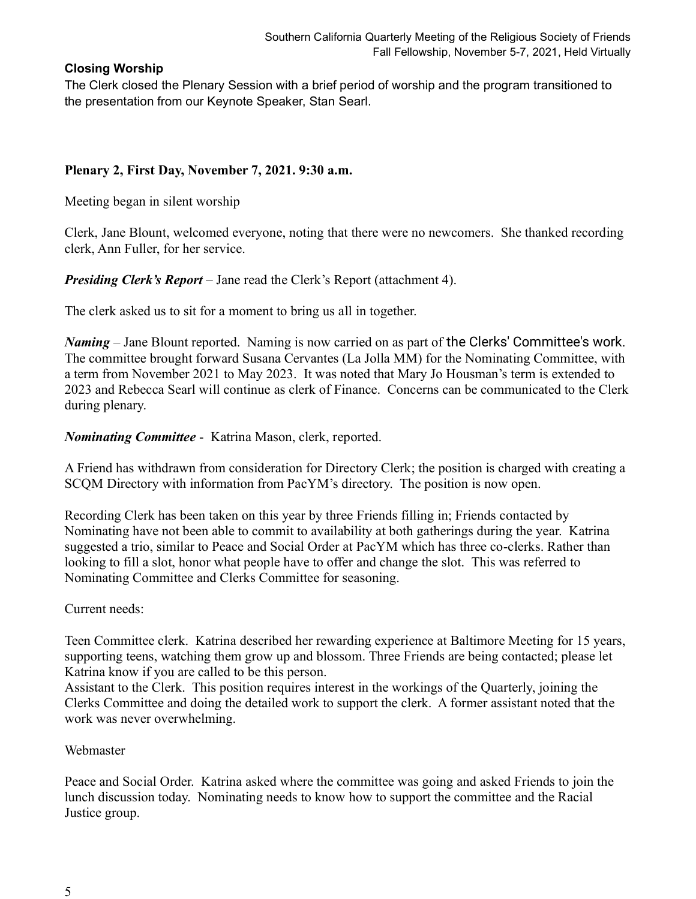## **Closing Worship**

The Clerk closed the Plenary Session with a brief period of worship and the program transitioned to the presentation from our Keynote Speaker, Stan Searl.

# **Plenary 2, First Day, November 7, 2021. 9:30 a.m.**

Meeting began in silent worship

Clerk, Jane Blount, welcomed everyone, noting that there were no newcomers. She thanked recording clerk, Ann Fuller, for her service.

*Presiding Clerk's Report* – Jane read the Clerk's Report (attachment 4).

The clerk asked us to sit for a moment to bring us all in together.

*Naming* – Jane Blount reported. Naming is now carried on as part of the Clerks' Committee's work. The committee brought forward Susana Cervantes (La Jolla MM) for the Nominating Committee, with a term from November 2021 to May 2023. It was noted that Mary Jo Housman's term is extended to 2023 and Rebecca Searl will continue as clerk of Finance. Concerns can be communicated to the Clerk during plenary.

*Nominating Committee* - Katrina Mason, clerk, reported.

A Friend has withdrawn from consideration for Directory Clerk; the position is charged with creating a SCQM Directory with information from PacYM's directory. The position is now open.

Recording Clerk has been taken on this year by three Friends filling in; Friends contacted by Nominating have not been able to commit to availability at both gatherings during the year. Katrina suggested a trio, similar to Peace and Social Order at PacYM which has three co-clerks. Rather than looking to fill a slot, honor what people have to offer and change the slot. This was referred to Nominating Committee and Clerks Committee for seasoning.

# Current needs:

Teen Committee clerk. Katrina described her rewarding experience at Baltimore Meeting for 15 years, supporting teens, watching them grow up and blossom. Three Friends are being contacted; please let Katrina know if you are called to be this person.

Assistant to the Clerk. This position requires interest in the workings of the Quarterly, joining the Clerks Committee and doing the detailed work to support the clerk. A former assistant noted that the work was never overwhelming.

# Webmaster

Peace and Social Order. Katrina asked where the committee was going and asked Friends to join the lunch discussion today. Nominating needs to know how to support the committee and the Racial Justice group.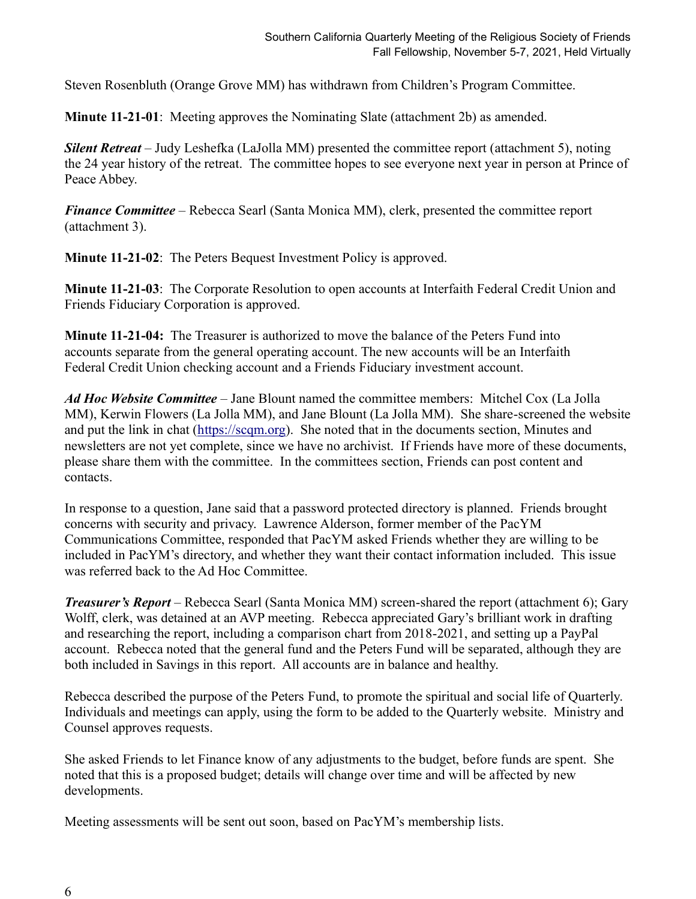Steven Rosenbluth (Orange Grove MM) has withdrawn from Children's Program Committee.

**Minute 11-21-01**: Meeting approves the Nominating Slate (attachment 2b) as amended.

*Silent Retreat* – Judy Leshefka (LaJolla MM) presented the committee report (attachment 5), noting the 24 year history of the retreat. The committee hopes to see everyone next year in person at Prince of Peace Abbey.

*Finance Committee* – Rebecca Searl (Santa Monica MM), clerk, presented the committee report (attachment 3).

**Minute 11-21-02**: The Peters Bequest Investment Policy is approved.

**Minute 11-21-03**: The Corporate Resolution to open accounts at Interfaith Federal Credit Union and Friends Fiduciary Corporation is approved.

**Minute 11-21-04:** The Treasurer is authorized to move the balance of the Peters Fund into accounts separate from the general operating account. The new accounts will be an Interfaith Federal Credit Union checking account and a Friends Fiduciary investment account.

*Ad Hoc Website Committee* – Jane Blount named the committee members: Mitchel Cox (La Jolla MM), Kerwin Flowers (La Jolla MM), and Jane Blount (La Jolla MM). She share-screened the website and put the link in chat [\(https://scqm.org\)](https://scqm.org/). She noted that in the documents section, Minutes and newsletters are not yet complete, since we have no archivist. If Friends have more of these documents, please share them with the committee. In the committees section, Friends can post content and contacts.

In response to a question, Jane said that a password protected directory is planned. Friends brought concerns with security and privacy. Lawrence Alderson, former member of the PacYM Communications Committee, responded that PacYM asked Friends whether they are willing to be included in PacYM's directory, and whether they want their contact information included. This issue was referred back to the Ad Hoc Committee.

*Treasurer's Report* – Rebecca Searl (Santa Monica MM) screen-shared the report (attachment 6); Gary Wolff, clerk, was detained at an AVP meeting. Rebecca appreciated Gary's brilliant work in drafting and researching the report, including a comparison chart from 2018-2021, and setting up a PayPal account. Rebecca noted that the general fund and the Peters Fund will be separated, although they are both included in Savings in this report. All accounts are in balance and healthy.

Rebecca described the purpose of the Peters Fund, to promote the spiritual and social life of Quarterly. Individuals and meetings can apply, using the form to be added to the Quarterly website. Ministry and Counsel approves requests.

She asked Friends to let Finance know of any adjustments to the budget, before funds are spent. She noted that this is a proposed budget; details will change over time and will be affected by new developments.

Meeting assessments will be sent out soon, based on PacYM's membership lists.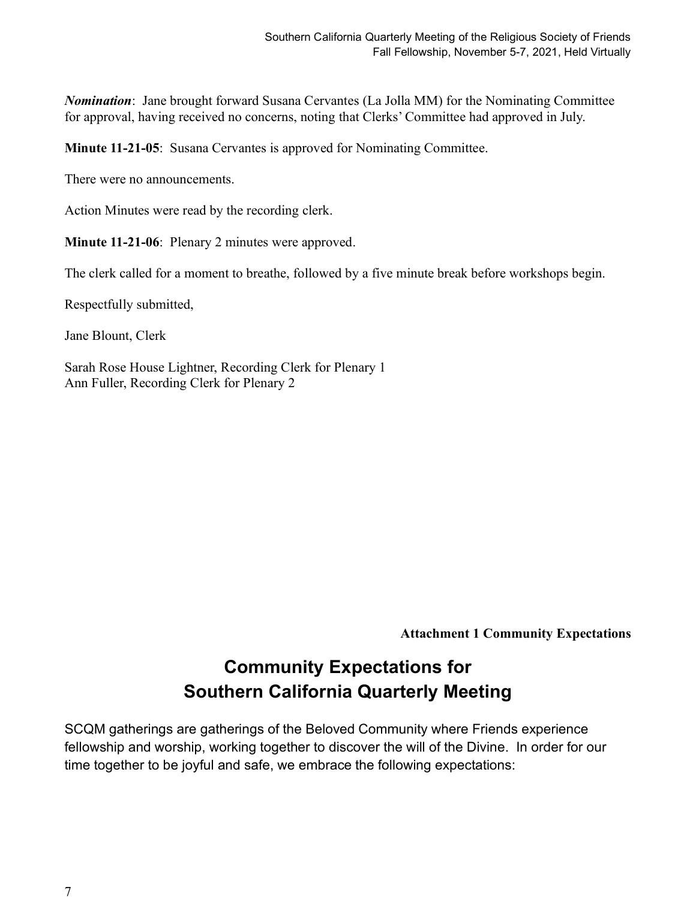*Nomination*: Jane brought forward Susana Cervantes (La Jolla MM) for the Nominating Committee for approval, having received no concerns, noting that Clerks' Committee had approved in July.

**Minute 11-21-05**: Susana Cervantes is approved for Nominating Committee.

There were no announcements.

Action Minutes were read by the recording clerk.

**Minute 11-21-06:** Plenary 2 minutes were approved.

The clerk called for a moment to breathe, followed by a five minute break before workshops begin.

Respectfully submitted,

Jane Blount, Clerk

Sarah Rose House Lightner, Recording Clerk for Plenary 1 Ann Fuller, Recording Clerk for Plenary 2

**Attachment 1 Community Expectations**

# **Community Expectations for Southern California Quarterly Meeting**

SCQM gatherings are gatherings of the Beloved Community where Friends experience fellowship and worship, working together to discover the will of the Divine. In order for our time together to be joyful and safe, we embrace the following expectations: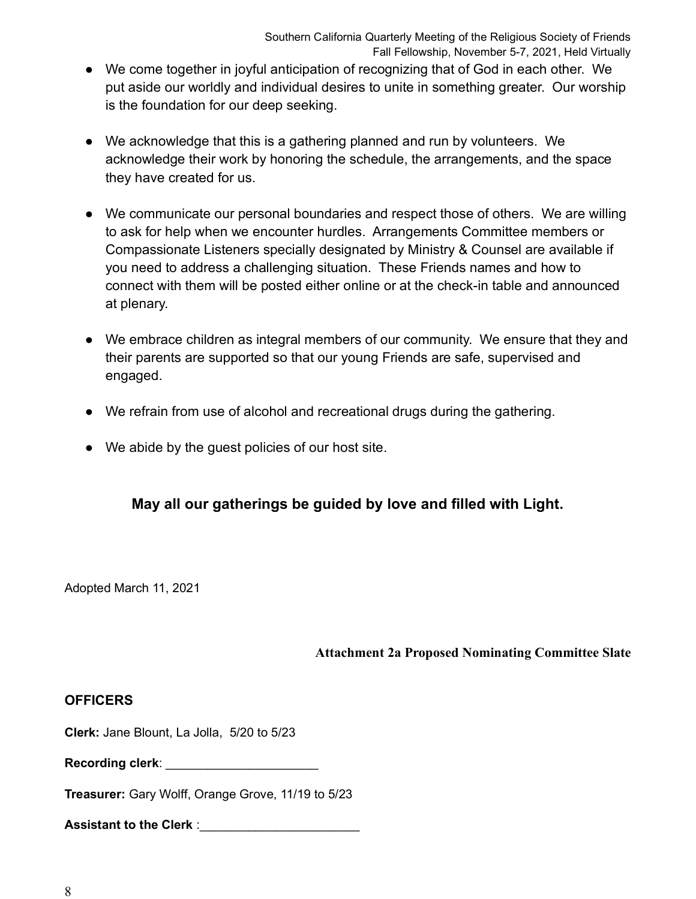- We come together in joyful anticipation of recognizing that of God in each other. We put aside our worldly and individual desires to unite in something greater. Our worship is the foundation for our deep seeking.
- We acknowledge that this is a gathering planned and run by volunteers. We acknowledge their work by honoring the schedule, the arrangements, and the space they have created for us.
- We communicate our personal boundaries and respect those of others. We are willing to ask for help when we encounter hurdles. Arrangements Committee members or Compassionate Listeners specially designated by Ministry & Counsel are available if you need to address a challenging situation. These Friends names and how to connect with them will be posted either online or at the check-in table and announced at plenary.
- We embrace children as integral members of our community. We ensure that they and their parents are supported so that our young Friends are safe, supervised and engaged.
- We refrain from use of alcohol and recreational drugs during the gathering.
- We abide by the guest policies of our host site.

# **May all our gatherings be guided by love and filled with Light.**

Adopted March 11, 2021

**Attachment 2a Proposed Nominating Committee Slate**

# **OFFICERS**

**Clerk:** Jane Blount, La Jolla, 5/20 to 5/23

**Recording clerk**: \_\_\_\_\_\_\_\_\_\_\_\_\_\_\_\_\_\_\_\_\_\_

**Treasurer:** Gary Wolff, Orange Grove, 11/19 to 5/23

Assistant to the Clerk :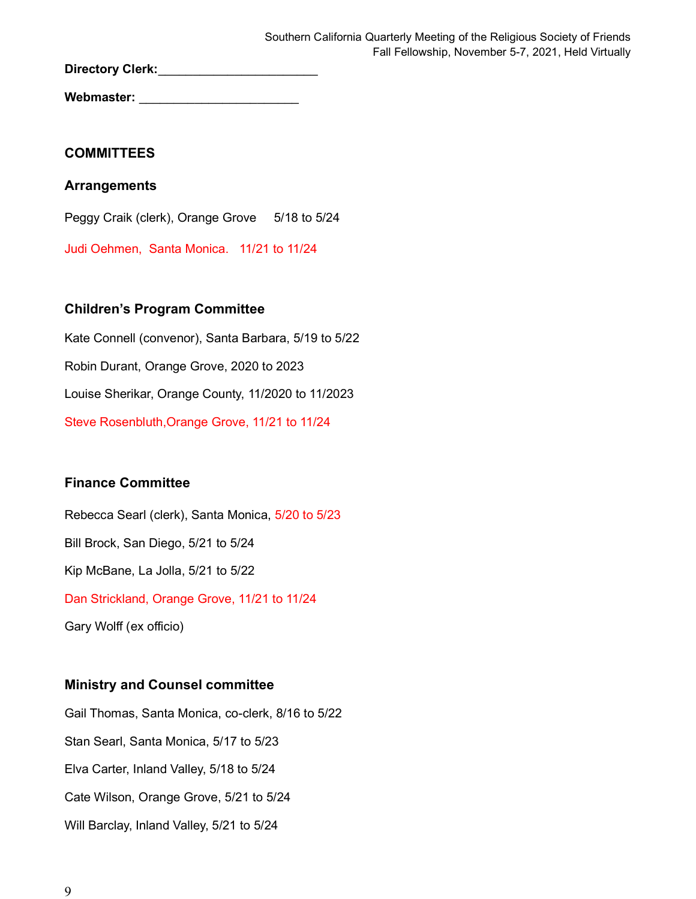Directory Clerk:

Webmaster:

## **COMMITTEES**

## **Arrangements**

Peggy Craik (clerk), Orange Grove 5/18 to 5/24

Judi Oehmen, Santa Monica. 11/21 to 11/24

# **Children's Program Committee**

Kate Connell (convenor), Santa Barbara, 5/19 to 5/22 Robin Durant, Orange Grove, 2020 to 2023 Louise Sherikar, Orange County, 11/2020 to 11/2023 Steve Rosenbluth,Orange Grove, 11/21 to 11/24

# **Finance Committee**

Rebecca Searl (clerk), Santa Monica, 5/20 to 5/23 Bill Brock, San Diego, 5/21 to 5/24 Kip McBane, La Jolla, 5/21 to 5/22 Dan Strickland, Orange Grove, 11/21 to 11/24 Gary Wolff (ex officio)

# **Ministry and Counsel committee**

Gail Thomas, Santa Monica, co-clerk, 8/16 to 5/22 Stan Searl, Santa Monica, 5/17 to 5/23 Elva Carter, Inland Valley, 5/18 to 5/24 Cate Wilson, Orange Grove, 5/21 to 5/24 Will Barclay, Inland Valley, 5/21 to 5/24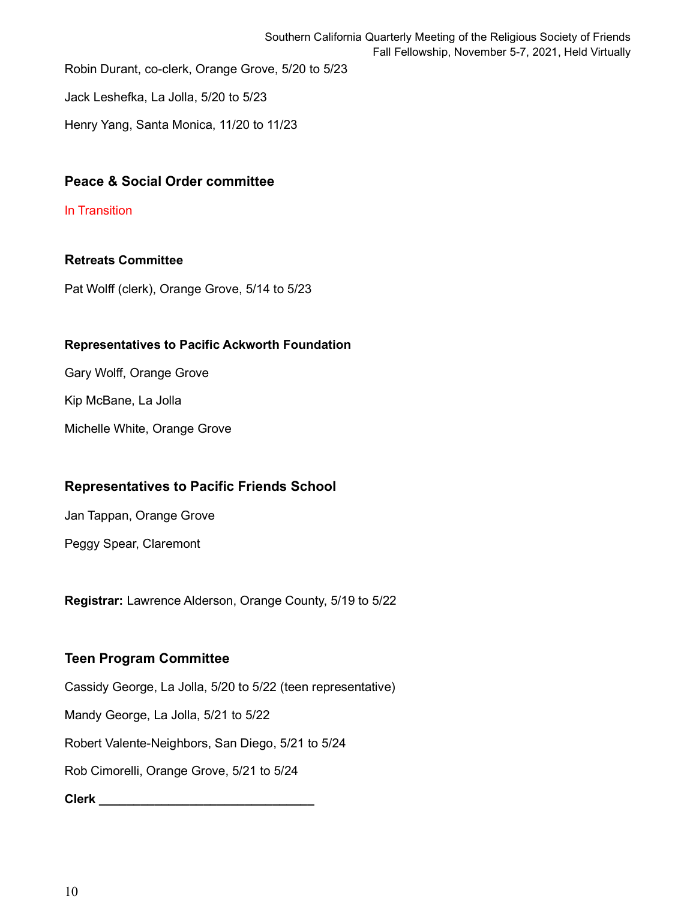Jack Leshefka, La Jolla, 5/20 to 5/23

Henry Yang, Santa Monica, 11/20 to 11/23

# **Peace & Social Order committee**

#### In Transition

# **Retreats Committee**

Pat Wolff (clerk), Orange Grove, 5/14 to 5/23

### **Representatives to Pacific Ackworth Foundation**

Gary Wolff, Orange Grove

Kip McBane, La Jolla

Michelle White, Orange Grove

# **Representatives to Pacific Friends School**

Jan Tappan, Orange Grove

Peggy Spear, Claremont

**Registrar:** Lawrence Alderson, Orange County, 5/19 to 5/22

# **Teen Program Committee**

Cassidy George, La Jolla, 5/20 to 5/22 (teen representative)

Mandy George, La Jolla, 5/21 to 5/22

Robert Valente-Neighbors, San Diego, 5/21 to 5/24

Rob Cimorelli, Orange Grove, 5/21 to 5/24

**Clerk \_\_\_\_\_\_\_\_\_\_\_\_\_\_\_\_\_\_\_\_\_\_\_\_\_\_\_\_\_\_\_**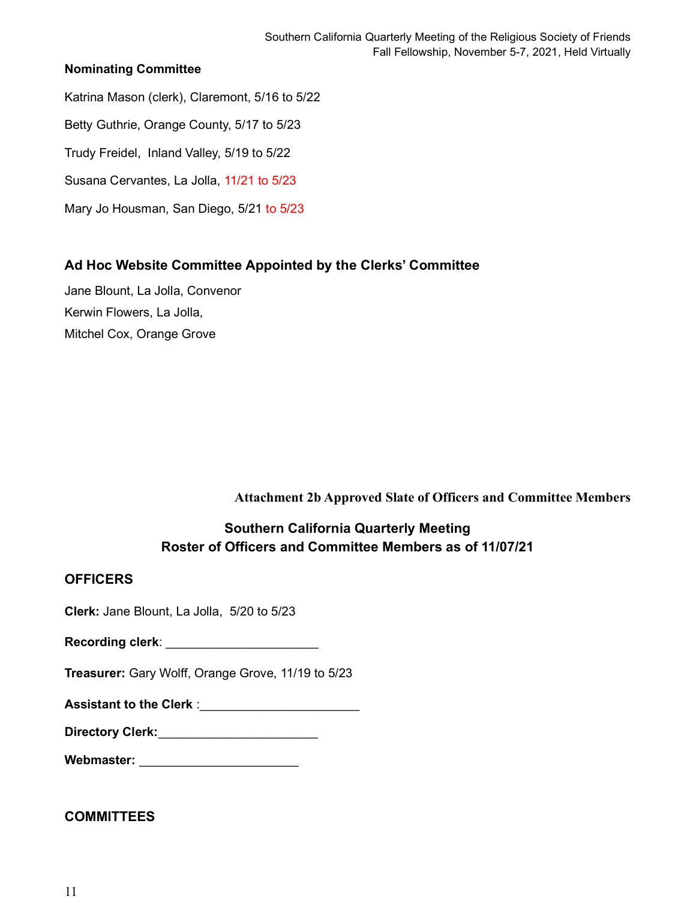# **Nominating Committee**

- Katrina Mason (clerk), Claremont, 5/16 to 5/22
- Betty Guthrie, Orange County, 5/17 to 5/23
- Trudy Freidel, Inland Valley, 5/19 to 5/22
- Susana Cervantes, La Jolla, 11/21 to 5/23
- Mary Jo Housman, San Diego, 5/21 to 5/23

# **Ad Hoc Website Committee Appointed by the Clerks' Committee**

Jane Blount, La Jolla, Convenor Kerwin Flowers, La Jolla, Mitchel Cox, Orange Grove

**Attachment 2b Approved Slate of Officers and Committee Members**

# **Southern California Quarterly Meeting Roster of Officers and Committee Members as of 11/07/21**

# **OFFICERS**

**Clerk:** Jane Blount, La Jolla, 5/20 to 5/23

| Recording clerk: |  |
|------------------|--|
|------------------|--|

**Treasurer:** Gary Wolff, Orange Grove, 11/19 to 5/23

Assistant to the Clerk : **Assistant** to the Clerk :

| <b>Directory Clerk:</b> |  |
|-------------------------|--|
|-------------------------|--|

**Webmaster:** \_\_\_\_\_\_\_\_\_\_\_\_\_\_\_\_\_\_\_\_\_\_\_

# **COMMITTEES**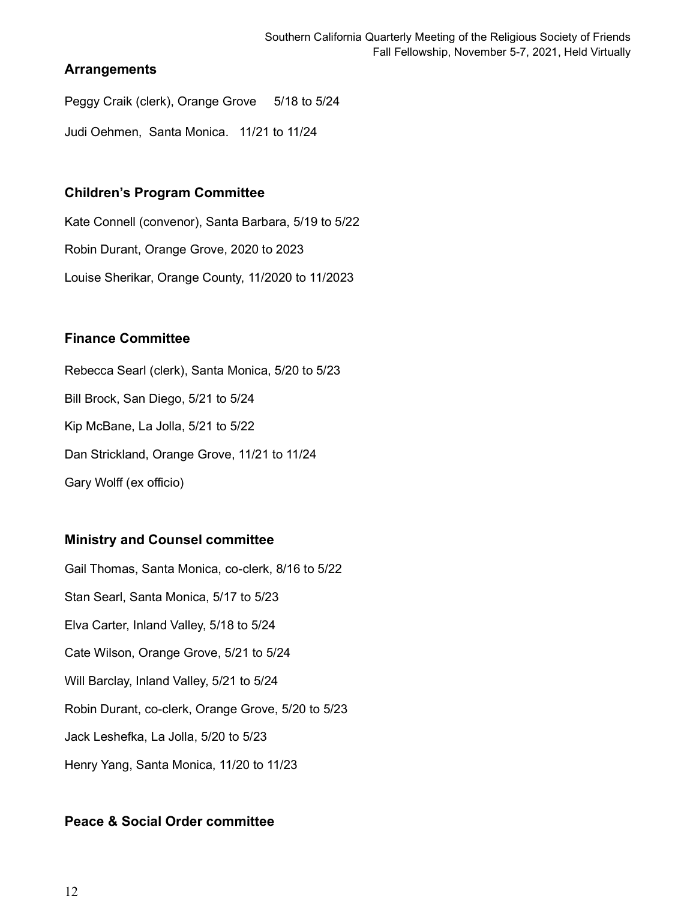# **Arrangements**

Peggy Craik (clerk), Orange Grove 5/18 to 5/24

Judi Oehmen, Santa Monica. 11/21 to 11/24

# **Children's Program Committee**

Kate Connell (convenor), Santa Barbara, 5/19 to 5/22 Robin Durant, Orange Grove, 2020 to 2023 Louise Sherikar, Orange County, 11/2020 to 11/2023

# **Finance Committee**

Rebecca Searl (clerk), Santa Monica, 5/20 to 5/23 Bill Brock, San Diego, 5/21 to 5/24 Kip McBane, La Jolla, 5/21 to 5/22 Dan Strickland, Orange Grove, 11/21 to 11/24 Gary Wolff (ex officio)

# **Ministry and Counsel committee**

Gail Thomas, Santa Monica, co-clerk, 8/16 to 5/22 Stan Searl, Santa Monica, 5/17 to 5/23 Elva Carter, Inland Valley, 5/18 to 5/24 Cate Wilson, Orange Grove, 5/21 to 5/24 Will Barclay, Inland Valley, 5/21 to 5/24 Robin Durant, co-clerk, Orange Grove, 5/20 to 5/23 Jack Leshefka, La Jolla, 5/20 to 5/23 Henry Yang, Santa Monica, 11/20 to 11/23

# **Peace & Social Order committee**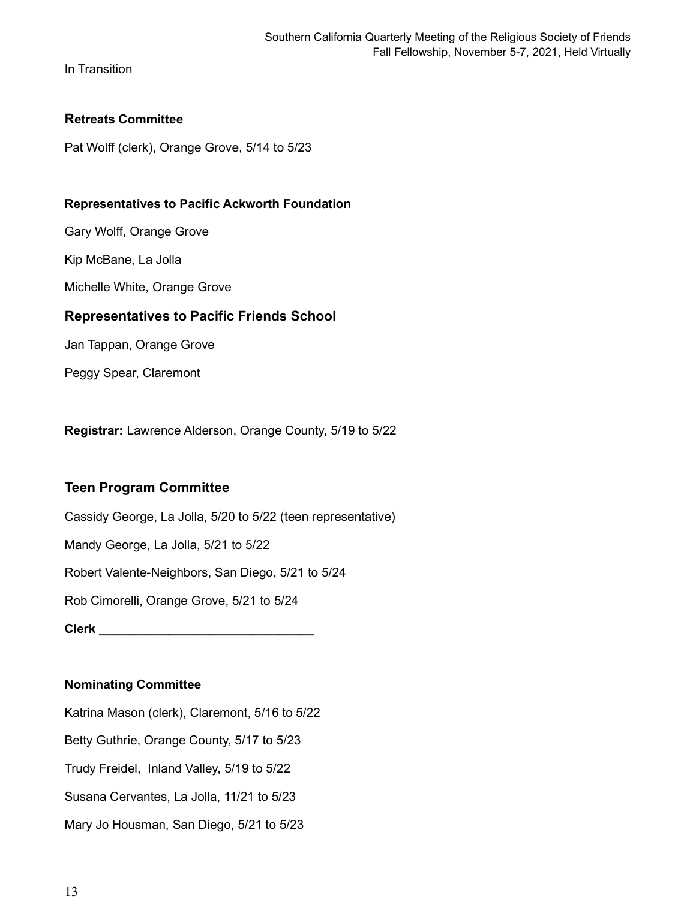In Transition

### **Retreats Committee**

Pat Wolff (clerk), Orange Grove, 5/14 to 5/23

#### **Representatives to Pacific Ackworth Foundation**

Gary Wolff, Orange Grove

Kip McBane, La Jolla

Michelle White, Orange Grove

### **Representatives to Pacific Friends School**

Jan Tappan, Orange Grove

Peggy Spear, Claremont

**Registrar:** Lawrence Alderson, Orange County, 5/19 to 5/22

# **Teen Program Committee**

Cassidy George, La Jolla, 5/20 to 5/22 (teen representative) Mandy George, La Jolla, 5/21 to 5/22 Robert Valente-Neighbors, San Diego, 5/21 to 5/24 Rob Cimorelli, Orange Grove, 5/21 to 5/24 **Clerk \_\_\_\_\_\_\_\_\_\_\_\_\_\_\_\_\_\_\_\_\_\_\_\_\_\_\_\_\_\_\_**

#### **Nominating Committee**

Katrina Mason (clerk), Claremont, 5/16 to 5/22 Betty Guthrie, Orange County, 5/17 to 5/23 Trudy Freidel, Inland Valley, 5/19 to 5/22 Susana Cervantes, La Jolla, 11/21 to 5/23 Mary Jo Housman, San Diego, 5/21 to 5/23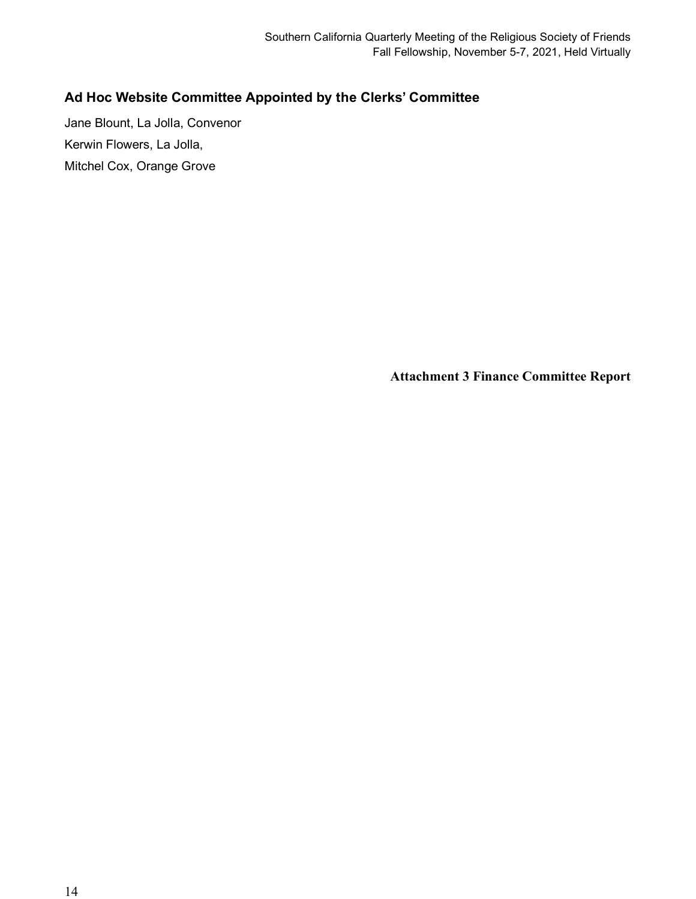# **Ad Hoc Website Committee Appointed by the Clerks' Committee**

Jane Blount, La Jolla, Convenor Kerwin Flowers, La Jolla, Mitchel Cox, Orange Grove

**Attachment 3 Finance Committee Report**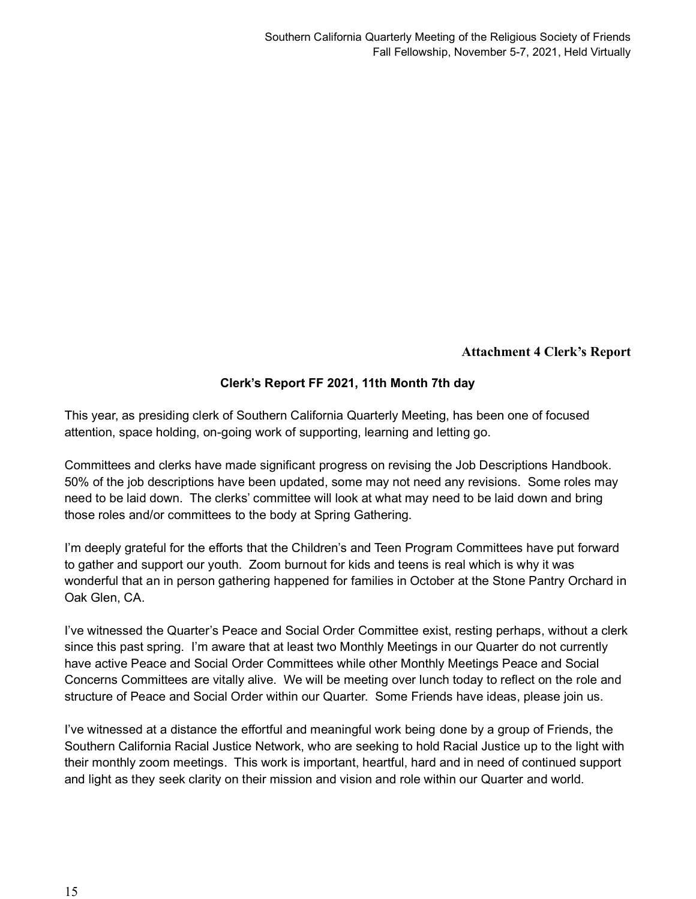# **Attachment 4 Clerk's Report**

# **Clerk's Report FF 2021, 11th Month 7th day**

This year, as presiding clerk of Southern California Quarterly Meeting, has been one of focused attention, space holding, on-going work of supporting, learning and letting go.

Committees and clerks have made significant progress on revising the Job Descriptions Handbook. 50% of the job descriptions have been updated, some may not need any revisions. Some roles may need to be laid down. The clerks' committee will look at what may need to be laid down and bring those roles and/or committees to the body at Spring Gathering.

I'm deeply grateful for the efforts that the Children's and Teen Program Committees have put forward to gather and support our youth. Zoom burnout for kids and teens is real which is why it was wonderful that an in person gathering happened for families in October at the Stone Pantry Orchard in Oak Glen, CA.

I've witnessed the Quarter's Peace and Social Order Committee exist, resting perhaps, without a clerk since this past spring. I'm aware that at least two Monthly Meetings in our Quarter do not currently have active Peace and Social Order Committees while other Monthly Meetings Peace and Social Concerns Committees are vitally alive. We will be meeting over lunch today to reflect on the role and structure of Peace and Social Order within our Quarter. Some Friends have ideas, please join us.

I've witnessed at a distance the effortful and meaningful work being done by a group of Friends, the Southern California Racial Justice Network, who are seeking to hold Racial Justice up to the light with their monthly zoom meetings. This work is important, heartful, hard and in need of continued support and light as they seek clarity on their mission and vision and role within our Quarter and world.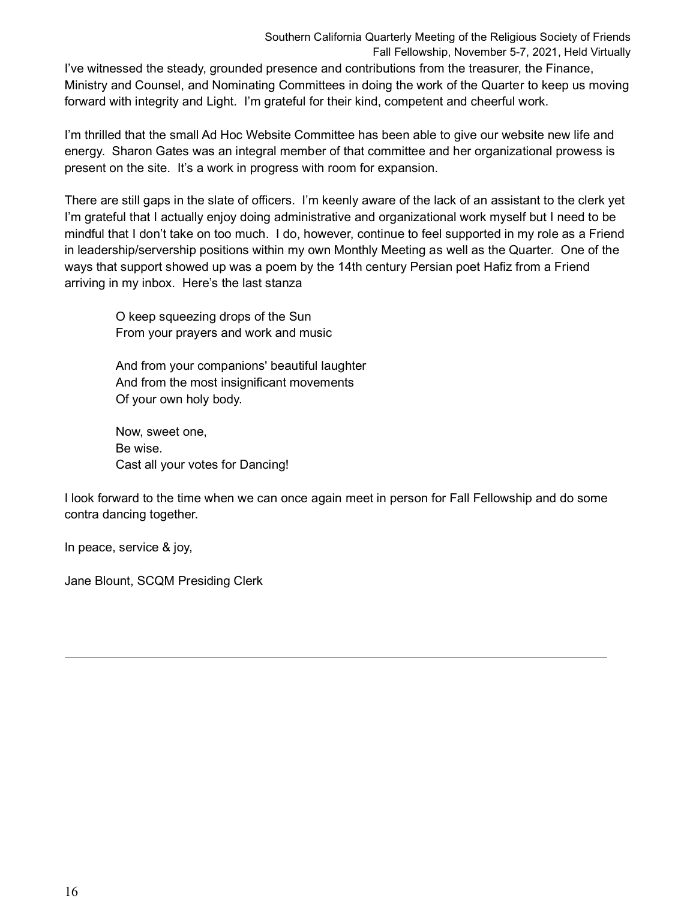Southern California Quarterly Meeting of the Religious Society of Friends Fall Fellowship, November 5-7, 2021, Held Virtually

I've witnessed the steady, grounded presence and contributions from the treasurer, the Finance, Ministry and Counsel, and Nominating Committees in doing the work of the Quarter to keep us moving forward with integrity and Light. I'm grateful for their kind, competent and cheerful work.

I'm thrilled that the small Ad Hoc Website Committee has been able to give our website new life and energy. Sharon Gates was an integral member of that committee and her organizational prowess is present on the site. It's a work in progress with room for expansion.

There are still gaps in the slate of officers. I'm keenly aware of the lack of an assistant to the clerk yet I'm grateful that I actually enjoy doing administrative and organizational work myself but I need to be mindful that I don't take on too much. I do, however, continue to feel supported in my role as a Friend in leadership/servership positions within my own Monthly Meeting as well as the Quarter. One of the ways that support showed up was a poem by the 14th century Persian poet Hafiz from a Friend arriving in my inbox. Here's the last stanza

O keep squeezing drops of the Sun From your prayers and work and music

And from your companions' beautiful laughter And from the most insignificant movements Of your own holy body.

Now, sweet one, Be wise. Cast all your votes for Dancing!

I look forward to the time when we can once again meet in person for Fall Fellowship and do some contra dancing together.

In peace, service & joy,

Jane Blount, SCQM Presiding Clerk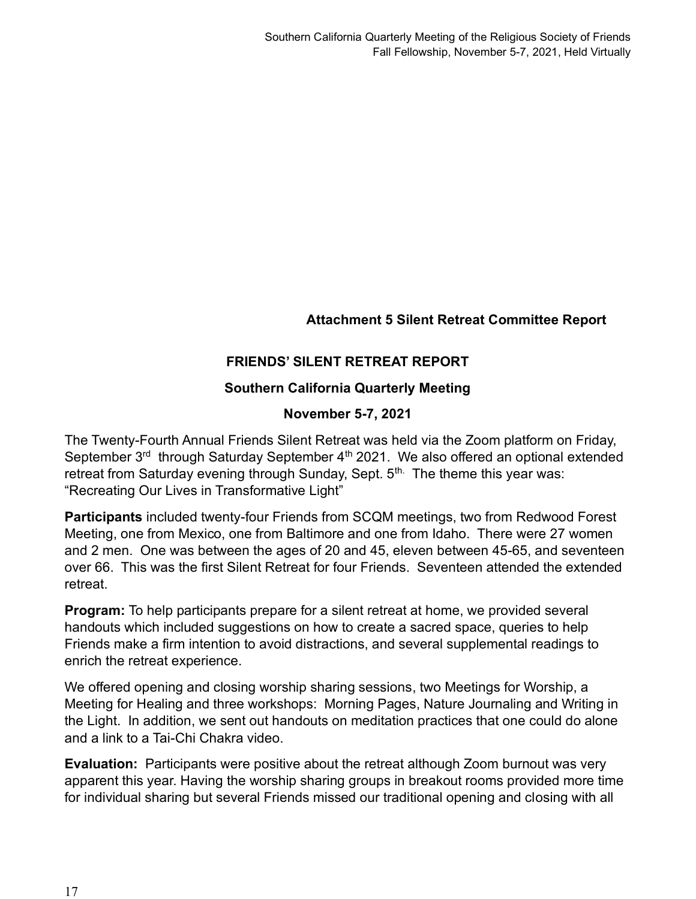**Attachment 5 Silent Retreat Committee Report**

# **FRIENDS' SILENT RETREAT REPORT**

# **Southern California Quarterly Meeting**

# **November 5-7, 2021**

The Twenty-Fourth Annual Friends Silent Retreat was held via the Zoom platform on Friday, September 3<sup>rd</sup> through Saturday September 4<sup>th</sup> 2021. We also offered an optional extended retreat from Saturday evening through Sunday, Sept. 5<sup>th.</sup> The theme this year was: "Recreating Our Lives in Transformative Light"

**Participants** included twenty-four Friends from SCQM meetings, two from Redwood Forest Meeting, one from Mexico, one from Baltimore and one from Idaho. There were 27 women and 2 men. One was between the ages of 20 and 45, eleven between 45-65, and seventeen over 66. This was the first Silent Retreat for four Friends. Seventeen attended the extended retreat.

**Program:** To help participants prepare for a silent retreat at home, we provided several handouts which included suggestions on how to create a sacred space, queries to help Friends make a firm intention to avoid distractions, and several supplemental readings to enrich the retreat experience.

We offered opening and closing worship sharing sessions, two Meetings for Worship, a Meeting for Healing and three workshops: Morning Pages, Nature Journaling and Writing in the Light. In addition, we sent out handouts on meditation practices that one could do alone and a link to a Tai-Chi Chakra video.

**Evaluation:** Participants were positive about the retreat although Zoom burnout was very apparent this year. Having the worship sharing groups in breakout rooms provided more time for individual sharing but several Friends missed our traditional opening and closing with all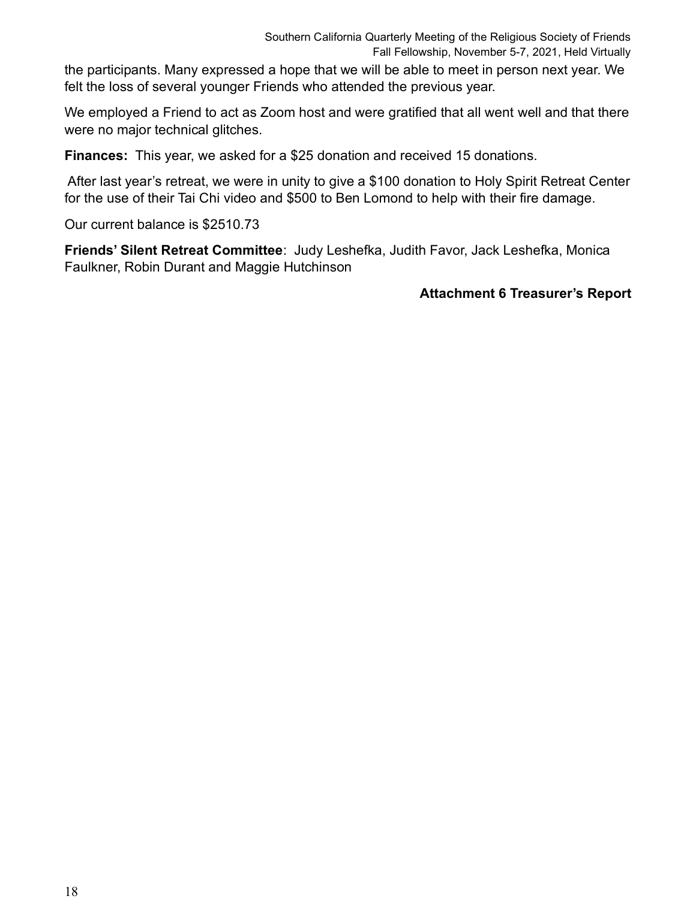the participants. Many expressed a hope that we will be able to meet in person next year. We felt the loss of several younger Friends who attended the previous year.

We employed a Friend to act as Zoom host and were gratified that all went well and that there were no major technical glitches.

**Finances:** This year, we asked for a \$25 donation and received 15 donations.

After last year's retreat, we were in unity to give a \$100 donation to Holy Spirit Retreat Center for the use of their Tai Chi video and \$500 to Ben Lomond to help with their fire damage.

Our current balance is \$2510.73

**Friends' Silent Retreat Committee**: Judy Leshefka, Judith Favor, Jack Leshefka, Monica Faulkner, Robin Durant and Maggie Hutchinson

# **Attachment 6 Treasurer's Report**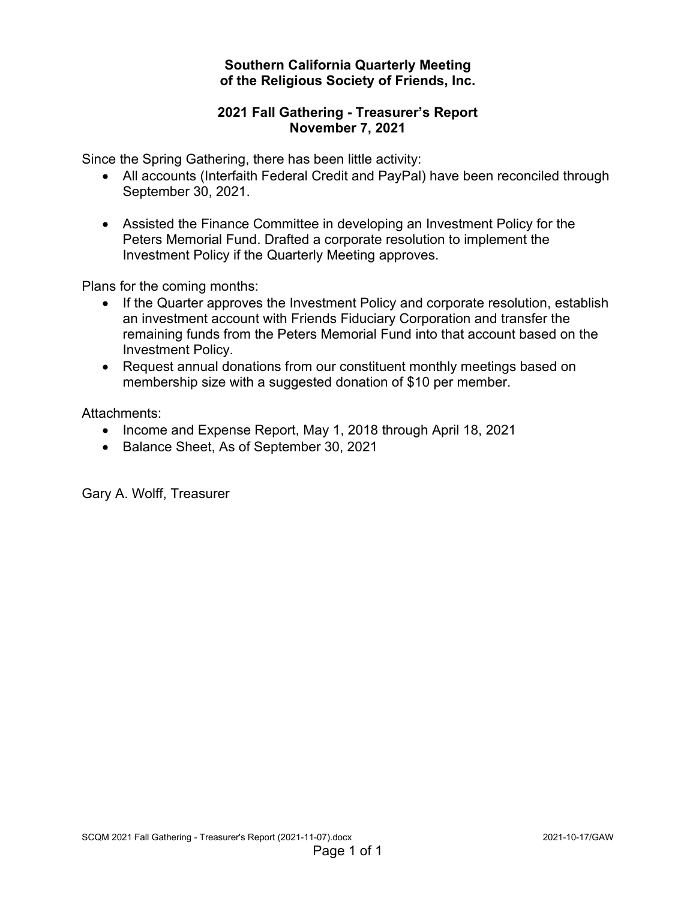# **Southern California Quarterly Meeting of the Religious Society of Friends, Inc.**

# **2021 Fall Gathering - Treasurer's Report November 7, 2021**

Since the Spring Gathering, there has been little activity:

- All accounts (Interfaith Federal Credit and PayPal) have been reconciled through September 30, 2021.
- Assisted the Finance Committee in developing an Investment Policy for the Peters Memorial Fund. Drafted a corporate resolution to implement the Investment Policy if the Quarterly Meeting approves.

Plans for the coming months:

- If the Quarter approves the Investment Policy and corporate resolution, establish an investment account with Friends Fiduciary Corporation and transfer the remaining funds from the Peters Memorial Fund into that account based on the Investment Policy.
- Request annual donations from our constituent monthly meetings based on membership size with a suggested donation of \$10 per member.

Attachments:

- Income and Expense Report, May 1, 2018 through April 18, 2021
- Balance Sheet, As of September 30, 2021

Gary A. Wolff, Treasurer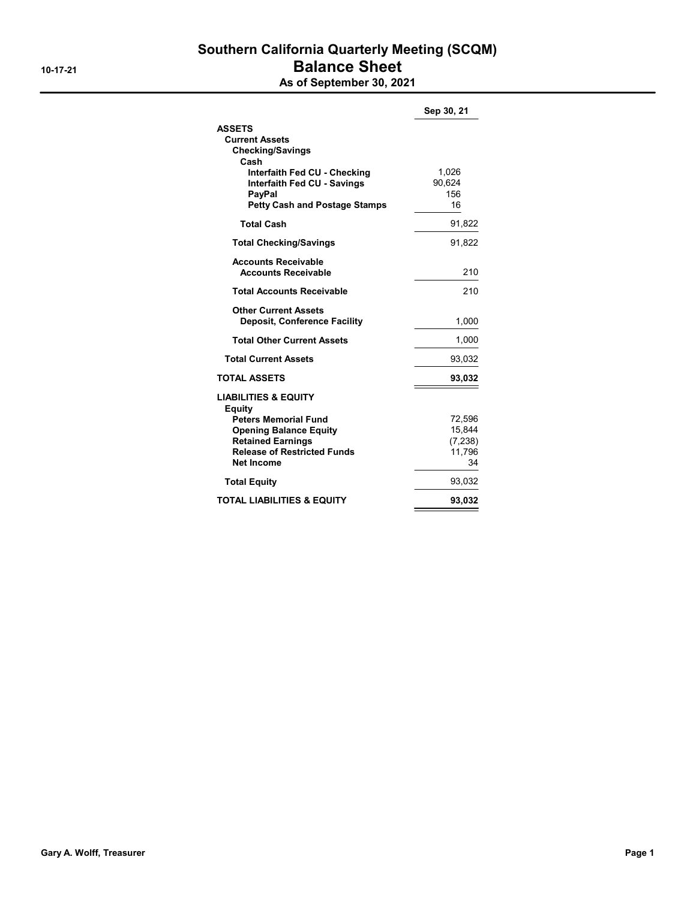# Southern California Quarterly Meeting (SCQM) 10-17-21 Balance Sheet

As of September 30, 2021

|                                       | Sep 30, 21       |
|---------------------------------------|------------------|
| <b>ASSETS</b>                         |                  |
| <b>Current Assets</b>                 |                  |
| <b>Checking/Savings</b>               |                  |
| Cash                                  |                  |
| Interfaith Fed CU - Checking          | 1,026            |
| <b>Interfaith Fed CU - Savings</b>    | 90.624<br>156    |
| PayPal                                | 16               |
| <b>Petty Cash and Postage Stamps</b>  |                  |
| <b>Total Cash</b>                     | 91,822           |
| <b>Total Checking/Savings</b>         | 91,822           |
| <b>Accounts Receivable</b>            |                  |
| <b>Accounts Receivable</b>            | 210              |
| <b>Total Accounts Receivable</b>      | 210              |
| <b>Other Current Assets</b>           |                  |
| <b>Deposit, Conference Facility</b>   | 1,000            |
| <b>Total Other Current Assets</b>     | 1,000            |
| <b>Total Current Assets</b>           | 93,032           |
| <b>TOTAL ASSETS</b>                   | 93,032           |
| <b>LIABILITIES &amp; EQUITY</b>       |                  |
| Equity<br><b>Peters Memorial Fund</b> |                  |
| <b>Opening Balance Equity</b>         | 72,596<br>15,844 |
| <b>Retained Earnings</b>              | (7, 238)         |
| <b>Release of Restricted Funds</b>    | 11,796           |
| <b>Net Income</b>                     | 34               |
| <b>Total Equity</b>                   | 93,032           |
| <b>TOTAL LIABILITIES &amp; EQUITY</b> | 93,032           |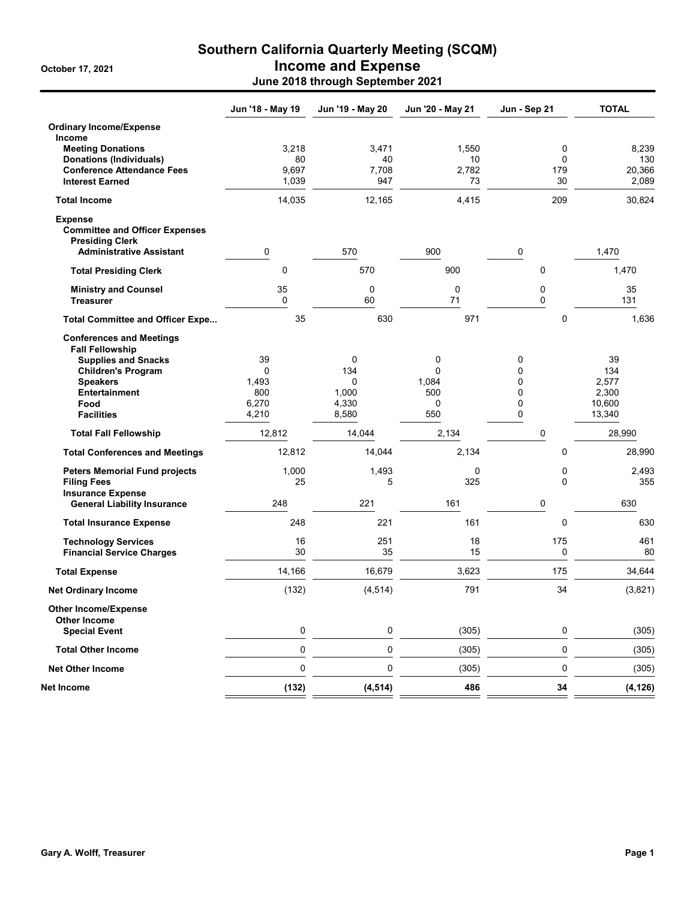# Southern California Quarterly Meeting (SCQM) October 17, 2021 **Income and Expense** June 2018 through September 2021

|                                                                                   | Jun '18 - May 19 | Jun '19 - May 20 | Jun '20 - May 21 | Jun - Sep 21 | <b>TOTAL</b>    |
|-----------------------------------------------------------------------------------|------------------|------------------|------------------|--------------|-----------------|
| <b>Ordinary Income/Expense</b>                                                    |                  |                  |                  |              |                 |
| <b>Income</b>                                                                     |                  |                  |                  |              |                 |
| <b>Meeting Donations</b>                                                          | 3,218            | 3,471            | 1,550            | 0            | 8,239           |
| <b>Donations (Individuals)</b>                                                    | 80               | 40               | 10               | 0            | 130             |
| <b>Conference Attendance Fees</b><br><b>Interest Earned</b>                       | 9,697<br>1,039   | 7,708<br>947     | 2,782<br>73      | 179<br>30    | 20.366<br>2,089 |
|                                                                                   |                  |                  |                  |              |                 |
| <b>Total Income</b>                                                               | 14,035           | 12,165           | 4,415            | 209          | 30,824          |
| <b>Expense</b><br><b>Committee and Officer Expenses</b><br><b>Presiding Clerk</b> |                  |                  |                  |              |                 |
| <b>Administrative Assistant</b>                                                   | 0                | 570              | 900              | 0            | 1,470           |
| <b>Total Presiding Clerk</b>                                                      | $\mathbf 0$      | 570              | 900              | $\mathbf 0$  | 1,470           |
| <b>Ministry and Counsel</b>                                                       | 35               | 0                | 0                | 0            | 35              |
| <b>Treasurer</b>                                                                  | $\mathbf 0$      | 60               | 71               | 0            | 131             |
| <b>Total Committee and Officer Expe</b>                                           | 35               | 630              | 971              | 0            | 1,636           |
| <b>Conferences and Meetings</b><br><b>Fall Fellowship</b>                         |                  |                  |                  |              |                 |
| <b>Supplies and Snacks</b>                                                        | 39               | 0                | 0                | 0            | 39              |
| <b>Children's Program</b>                                                         | $\Omega$         | 134              | 0                | 0            | 134             |
| <b>Speakers</b>                                                                   | 1,493            | 0                | 1,084            | 0            | 2,577           |
| <b>Entertainment</b>                                                              | 800              | 1,000            | 500              | 0            | 2,300           |
| Food                                                                              | 6,270            | 4,330            | 0                | 0            | 10,600          |
| <b>Facilities</b>                                                                 | 4,210            | 8,580            | 550              | 0            | 13,340          |
| <b>Total Fall Fellowship</b>                                                      | 12,812           | 14,044           | 2,134            | 0            | 28,990          |
| <b>Total Conferences and Meetings</b>                                             | 12,812           | 14,044           | 2,134            | 0            | 28,990          |
| <b>Peters Memorial Fund projects</b>                                              | 1,000            | 1,493            | 0                | 0            | 2,493           |
| <b>Filing Fees</b>                                                                | 25               | 5                | 325              | $\Omega$     | 355             |
| <b>Insurance Expense</b>                                                          |                  |                  |                  |              |                 |
| <b>General Liability Insurance</b>                                                | 248              | 221              | 161              | 0            | 630             |
| <b>Total Insurance Expense</b>                                                    | 248              | 221              | 161              | $\mathbf 0$  | 630             |
| <b>Technology Services</b>                                                        | 16               | 251              | 18               | 175          | 461             |
| <b>Financial Service Charges</b>                                                  | 30               | 35               | 15               | 0            | 80              |
| <b>Total Expense</b>                                                              | 14,166           | 16,679           | 3,623            | 175          | 34,644          |
| <b>Net Ordinary Income</b>                                                        | (132)            | (4, 514)         | 791              | 34           | (3,821)         |
| <b>Other Income/Expense</b><br><b>Other Income</b>                                |                  |                  |                  |              |                 |
| <b>Special Event</b>                                                              | 0                | 0                | (305)            | 0            | (305)           |
| <b>Total Other Income</b>                                                         | $\pmb{0}$        | $\pmb{0}$        | (305)            | 0            | (305)           |
| <b>Net Other Income</b>                                                           | 0                | $\pmb{0}$        | (305)            | $\pmb{0}$    | (305)           |
| Net Income                                                                        | (132)            | (4, 514)         | 486              | 34           | (4, 126)        |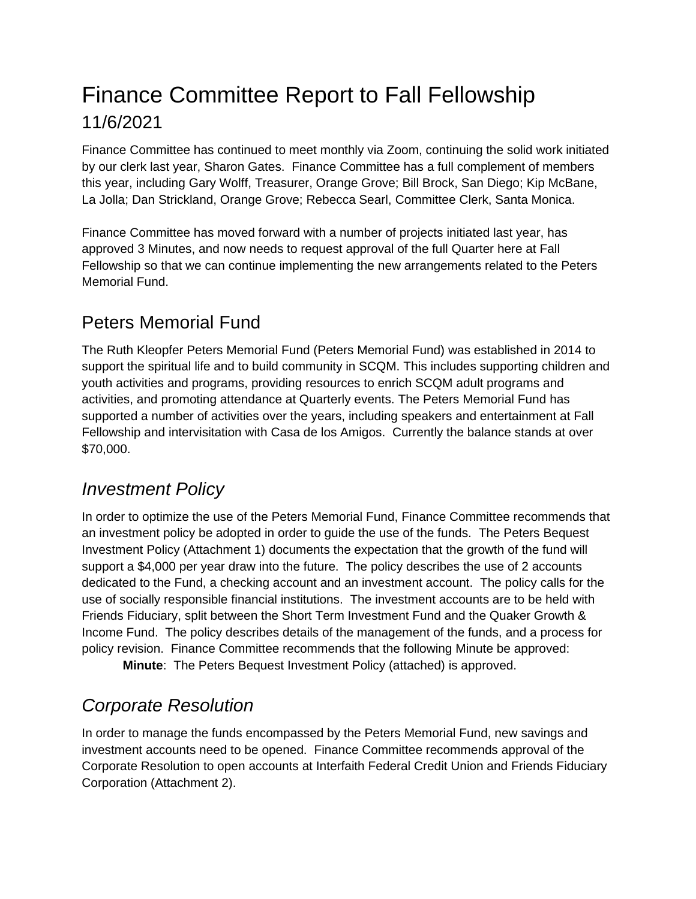# Finance Committee Report to Fall Fellowship 11/6/2021

Finance Committee has continued to meet monthly via Zoom, continuing the solid work initiated by our clerk last year, Sharon Gates. Finance Committee has a full complement of members this year, including Gary Wolff, Treasurer, Orange Grove; Bill Brock, San Diego; Kip McBane, La Jolla; Dan Strickland, Orange Grove; Rebecca Searl, Committee Clerk, Santa Monica.

Finance Committee has moved forward with a number of projects initiated last year, has approved 3 Minutes, and now needs to request approval of the full Quarter here at Fall Fellowship so that we can continue implementing the new arrangements related to the Peters Memorial Fund.

# Peters Memorial Fund

The Ruth Kleopfer Peters Memorial Fund (Peters Memorial Fund) was established in 2014 to support the spiritual life and to build community in SCQM. This includes supporting children and youth activities and programs, providing resources to enrich SCQM adult programs and activities, and promoting attendance at Quarterly events. The Peters Memorial Fund has supported a number of activities over the years, including speakers and entertainment at Fall Fellowship and intervisitation with Casa de los Amigos. Currently the balance stands at over \$70,000.

# *Investment Policy*

In order to optimize the use of the Peters Memorial Fund, Finance Committee recommends that an investment policy be adopted in order to guide the use of the funds. The Peters Bequest Investment Policy (Attachment 1) documents the expectation that the growth of the fund will support a \$4,000 per year draw into the future. The policy describes the use of 2 accounts dedicated to the Fund, a checking account and an investment account. The policy calls for the use of socially responsible financial institutions. The investment accounts are to be held with Friends Fiduciary, split between the Short Term Investment Fund and the Quaker Growth & Income Fund. The policy describes details of the management of the funds, and a process for policy revision. Finance Committee recommends that the following Minute be approved:

**Minute**: The Peters Bequest Investment Policy (attached) is approved.

# *Corporate Resolution*

In order to manage the funds encompassed by the Peters Memorial Fund, new savings and investment accounts need to be opened. Finance Committee recommends approval of the Corporate Resolution to open accounts at Interfaith Federal Credit Union and Friends Fiduciary Corporation (Attachment 2).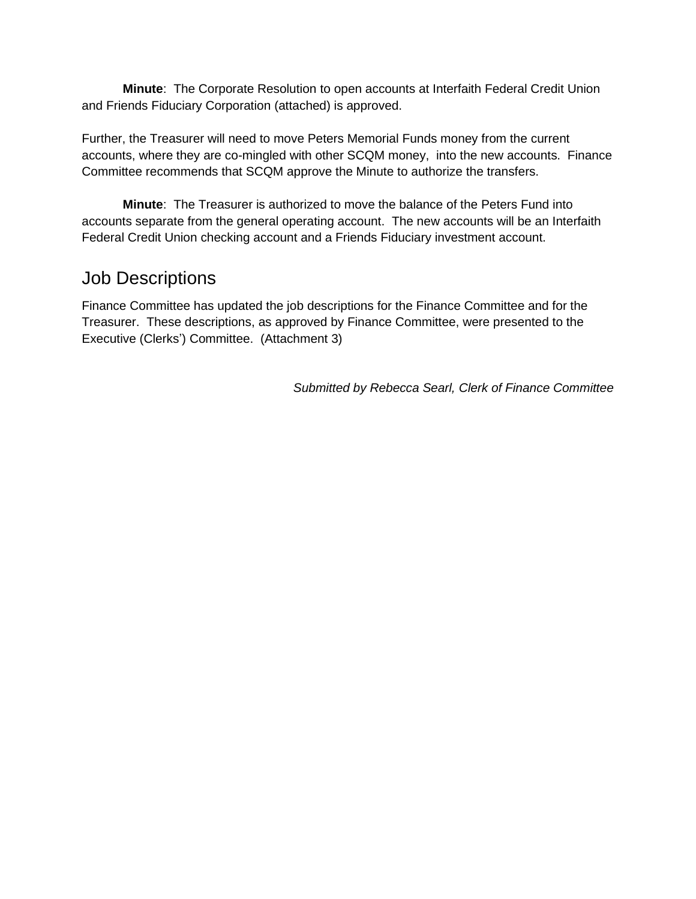**Minute**: The Corporate Resolution to open accounts at Interfaith Federal Credit Union and Friends Fiduciary Corporation (attached) is approved.

Further, the Treasurer will need to move Peters Memorial Funds money from the current accounts, where they are co-mingled with other SCQM money, into the new accounts. Finance Committee recommends that SCQM approve the Minute to authorize the transfers.

**Minute**: The Treasurer is authorized to move the balance of the Peters Fund into accounts separate from the general operating account. The new accounts will be an Interfaith Federal Credit Union checking account and a Friends Fiduciary investment account.

# Job Descriptions

Finance Committee has updated the job descriptions for the Finance Committee and for the Treasurer. These descriptions, as approved by Finance Committee, were presented to the Executive (Clerks') Committee. (Attachment 3)

*Submitted by Rebecca Searl, Clerk of Finance Committee*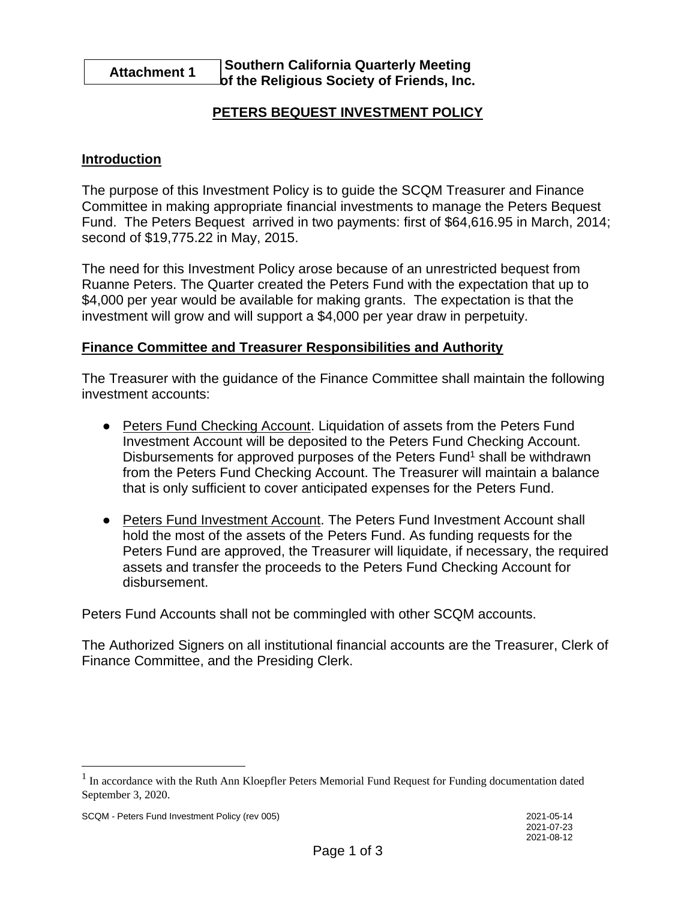#### **Attachment 1 Southern California Quarterly Meeting of the Religious Society of Friends, Inc.**

# **PETERS BEQUEST INVESTMENT POLICY**

### **Introduction**

The purpose of this Investment Policy is to guide the SCQM Treasurer and Finance Committee in making appropriate financial investments to manage the Peters Bequest Fund. The Peters Bequest arrived in two payments: first of \$64,616.95 in March, 2014; second of \$19,775.22 in May, 2015.

The need for this Investment Policy arose because of an unrestricted bequest from Ruanne Peters. The Quarter created the Peters Fund with the expectation that up to \$4,000 per year would be available for making grants. The expectation is that the investment will grow and will support a \$4,000 per year draw in perpetuity.

#### **Finance Committee and Treasurer Responsibilities and Authority**

The Treasurer with the guidance of the Finance Committee shall maintain the following investment accounts:

- Peters Fund Checking Account. Liquidation of assets from the Peters Fund Investment Account will be deposited to the Peters Fund Checking Account. Disbursements for approved purposes of the Peters Fund<sup>1</sup> shall be withdrawn from the Peters Fund Checking Account. The Treasurer will maintain a balance that is only sufficient to cover anticipated expenses for the Peters Fund.
- Peters Fund Investment Account. The Peters Fund Investment Account shall hold the most of the assets of the Peters Fund. As funding requests for the Peters Fund are approved, the Treasurer will liquidate, if necessary, the required assets and transfer the proceeds to the Peters Fund Checking Account for disbursement.

Peters Fund Accounts shall not be commingled with other SCQM accounts.

The Authorized Signers on all institutional financial accounts are the Treasurer, Clerk of Finance Committee, and the Presiding Clerk.

<sup>&</sup>lt;sup>1</sup> In accordance with the Ruth Ann Kloepfler Peters Memorial Fund Request for Funding documentation dated September 3, 2020.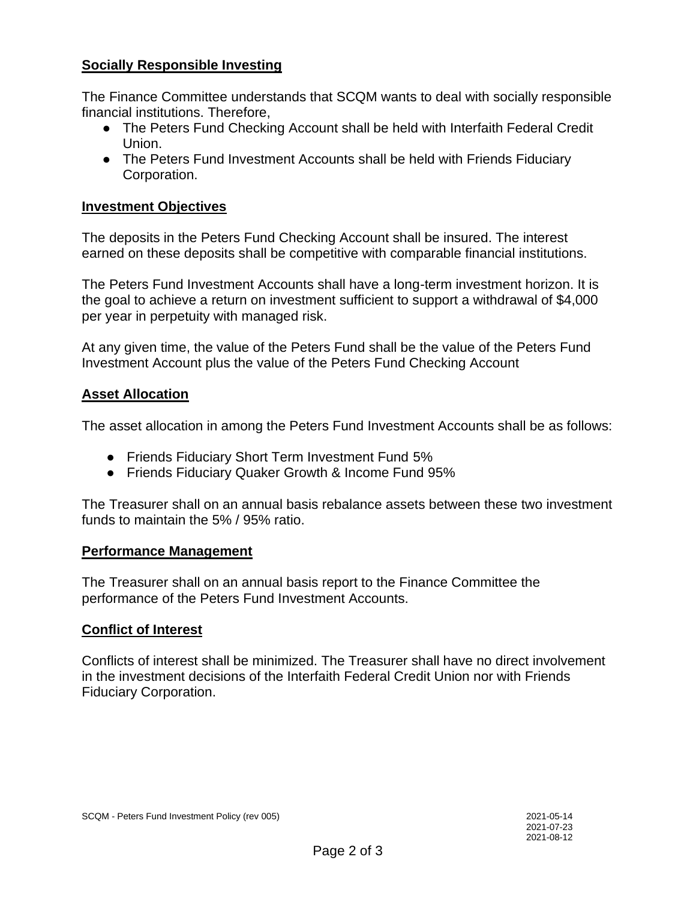# **Socially Responsible Investing**

The Finance Committee understands that SCQM wants to deal with socially responsible financial institutions. Therefore,

- The Peters Fund Checking Account shall be held with Interfaith Federal Credit Union.
- The Peters Fund Investment Accounts shall be held with Friends Fiduciary Corporation.

### **Investment Objectives**

The deposits in the Peters Fund Checking Account shall be insured. The interest earned on these deposits shall be competitive with comparable financial institutions.

The Peters Fund Investment Accounts shall have a long-term investment horizon. It is the goal to achieve a return on investment sufficient to support a withdrawal of \$4,000 per year in perpetuity with managed risk.

At any given time, the value of the Peters Fund shall be the value of the Peters Fund Investment Account plus the value of the Peters Fund Checking Account

# **Asset Allocation**

The asset allocation in among the Peters Fund Investment Accounts shall be as follows:

- Friends Fiduciary Short Term Investment Fund 5%
- Friends Fiduciary Quaker Growth & Income Fund 95%

The Treasurer shall on an annual basis rebalance assets between these two investment funds to maintain the 5% / 95% ratio.

# **Performance Management**

The Treasurer shall on an annual basis report to the Finance Committee the performance of the Peters Fund Investment Accounts.

# **Conflict of Interest**

Conflicts of interest shall be minimized. The Treasurer shall have no direct involvement in the investment decisions of the Interfaith Federal Credit Union nor with Friends Fiduciary Corporation.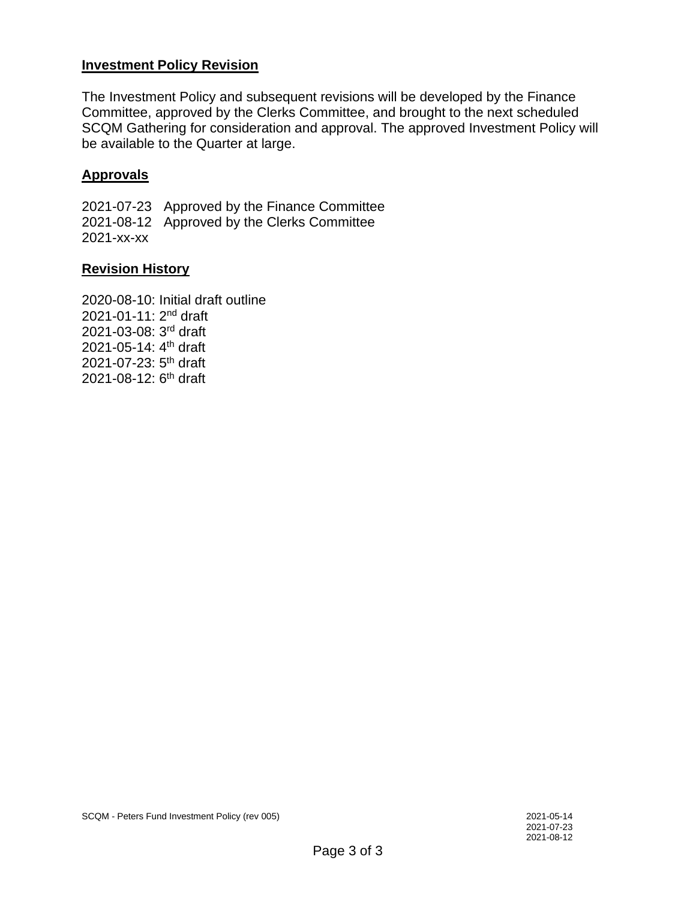# **Investment Policy Revision**

The Investment Policy and subsequent revisions will be developed by the Finance Committee, approved by the Clerks Committee, and brought to the next scheduled SCQM Gathering for consideration and approval. The approved Investment Policy will be available to the Quarter at large.

### **Approvals**

2021-07-23 Approved by the Finance Committee 2021-08-12 Approved by the Clerks Committee 2021-xx-xx

### **Revision History**

2020-08-10: Initial draft outline 2021-01-11: 2nd draft 2021-03-08: 3rd draft 2021-05-14: 4th draft 2021-07-23: 5th draft 2021-08-12: 6<sup>th</sup> draft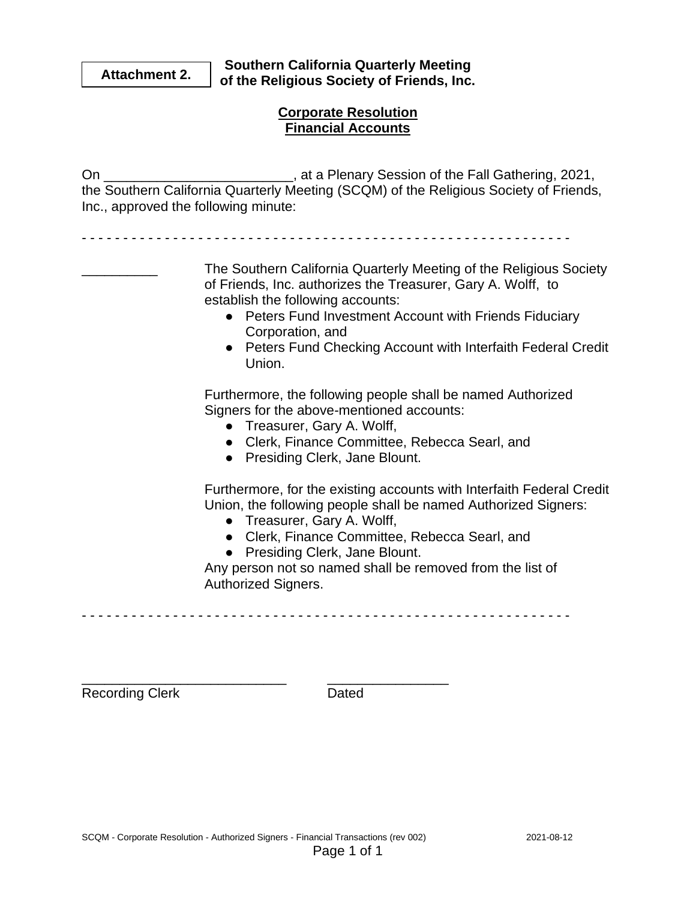**Attachment 2. Southern California Quarterly Meeting of the Religious Society of Friends, Inc.**

# **Corporate Resolution Financial Accounts**

On \_\_\_\_\_\_\_\_\_\_\_\_\_\_\_\_\_\_\_\_\_\_\_\_\_, at a Plenary Session of the Fall Gathering, 2021, the Southern California Quarterly Meeting (SCQM) of the Religious Society of Friends, Inc., approved the following minute:

- - - - - - - - - - - - - - - - - - - - - - - - - - - - - - - - - - - - - - - - - - - - - - - - - - - - - - - - - - -

\_\_\_\_\_\_\_\_\_\_ The Southern California Quarterly Meeting of the Religious Society of Friends, Inc. authorizes the Treasurer, Gary A. Wolff, to establish the following accounts:

- Peters Fund Investment Account with Friends Fiduciary Corporation, and
- Peters Fund Checking Account with Interfaith Federal Credit Union.

Furthermore, the following people shall be named Authorized Signers for the above-mentioned accounts:

- Treasurer, Gary A. Wolff,
- Clerk, Finance Committee, Rebecca Searl, and
- Presiding Clerk, Jane Blount.

Furthermore, for the existing accounts with Interfaith Federal Credit Union, the following people shall be named Authorized Signers:

- Treasurer, Gary A. Wolff,
- Clerk, Finance Committee, Rebecca Searl, and
- Presiding Clerk, Jane Blount.

Any person not so named shall be removed from the list of Authorized Signers.

- - - - - - - - - - - - - - - - - - - - - - - - - - - - - - - - - - - - - - - - - - - - - - - - - - - - - - - - - - -

Recording Clerk Dated

\_\_\_\_\_\_\_\_\_\_\_\_\_\_\_\_\_\_\_\_\_\_\_\_\_\_\_ \_\_\_\_\_\_\_\_\_\_\_\_\_\_\_\_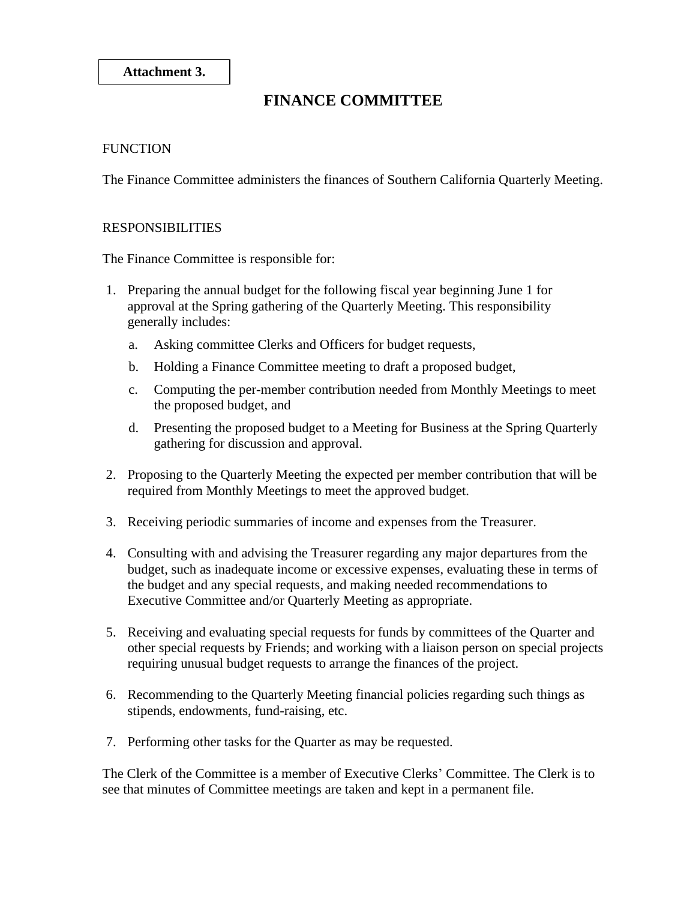**Attachment 3.**

# **FINANCE COMMITTEE**

#### **FUNCTION**

The Finance Committee administers the finances of Southern California Quarterly Meeting.

#### RESPONSIBILITIES

The Finance Committee is responsible for:

- 1. Preparing the annual budget for the following fiscal year beginning June 1 for approval at the Spring gathering of the Quarterly Meeting. This responsibility generally includes:
	- a. Asking committee Clerks and Officers for budget requests,
	- b. Holding a Finance Committee meeting to draft a proposed budget,
	- c. Computing the per-member contribution needed from Monthly Meetings to meet the proposed budget, and
	- d. Presenting the proposed budget to a Meeting for Business at the Spring Quarterly gathering for discussion and approval.
- 2. Proposing to the Quarterly Meeting the expected per member contribution that will be required from Monthly Meetings to meet the approved budget.
- 3. Receiving periodic summaries of income and expenses from the Treasurer.
- 4. Consulting with and advising the Treasurer regarding any major departures from the budget, such as inadequate income or excessive expenses, evaluating these in terms of the budget and any special requests, and making needed recommendations to Executive Committee and/or Quarterly Meeting as appropriate.
- 5. Receiving and evaluating special requests for funds by committees of the Quarter and other special requests by Friends; and working with a liaison person on special projects requiring unusual budget requests to arrange the finances of the project.
- 6. Recommending to the Quarterly Meeting financial policies regarding such things as stipends, endowments, fund-raising, etc.
- 7. Performing other tasks for the Quarter as may be requested.

The Clerk of the Committee is a member of Executive Clerks' Committee. The Clerk is to see that minutes of Committee meetings are taken and kept in a permanent file.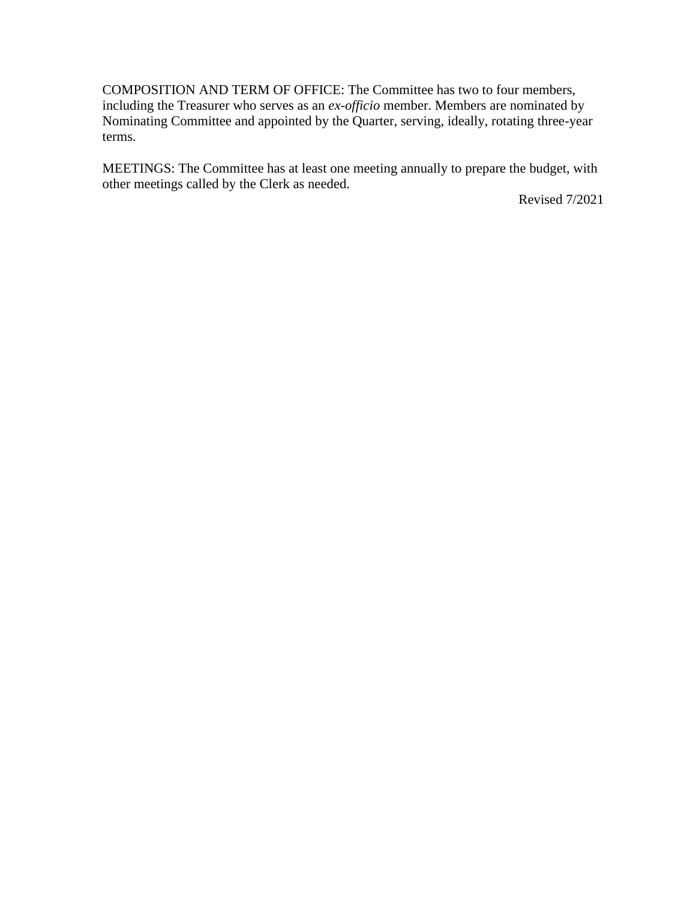COMPOSITION AND TERM OF OFFICE: The Committee has two to four members, including the Treasurer who serves as an *ex-officio* member. Members are nominated by Nominating Committee and appointed by the Quarter, serving, ideally, rotating three-year terms.

MEETINGS: The Committee has at least one meeting annually to prepare the budget, with other meetings called by the Clerk as needed.

Revised 7/2021